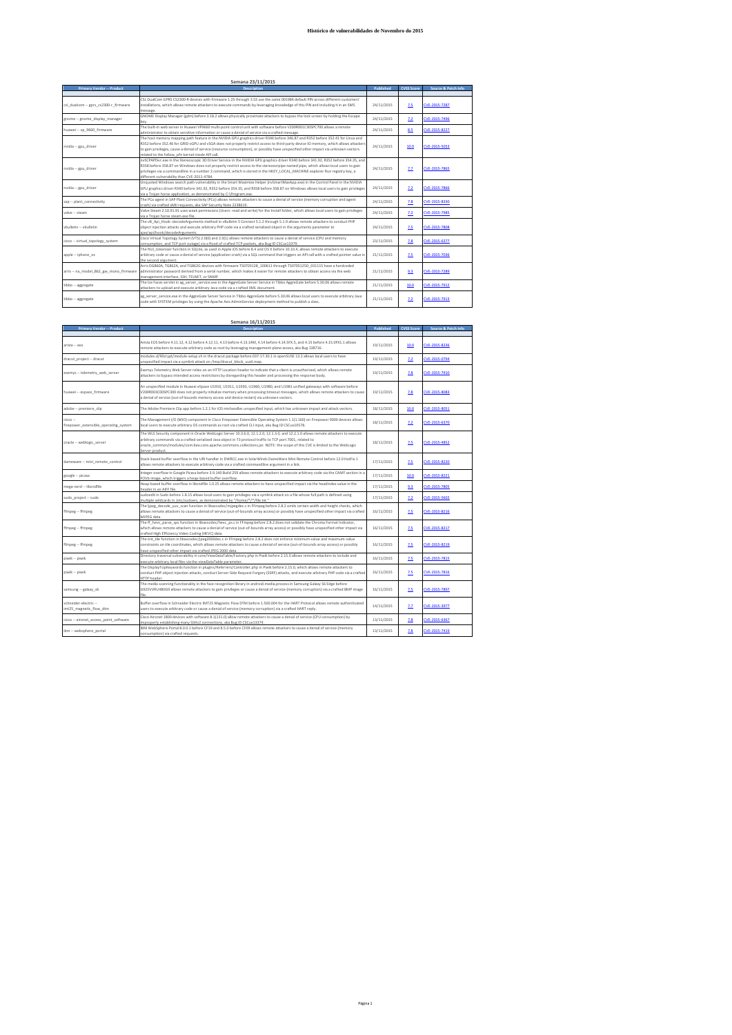| Semana 23/11/2015                      |                                                                                                                                             |            |                   |                     |
|----------------------------------------|---------------------------------------------------------------------------------------------------------------------------------------------|------------|-------------------|---------------------|
| <b>Primary Vendor -- Product</b>       | <b>Description</b>                                                                                                                          | Published  | <b>CVSS Score</b> | Source & Patch Info |
|                                        |                                                                                                                                             |            |                   |                     |
|                                        | CSL DualCom GPRS CS2300-R devices with firmware 1.25 through 3.53 use the same 001984 default PIN across different customers'               |            |                   |                     |
| csl dualcom -- gprs cs2300-r firmware  | installations, which allows remote attackers to execute commands by leveraging knowledge of this PIN and including it in an SMS             | 24/11/2015 | 7.5               | CVE-2015-7287       |
|                                        | message                                                                                                                                     |            |                   |                     |
| gnome -- gnome display manager         | GNOME Display Manager (gdm) before 3.18.2 allows physically proximate attackers to bypass the lock screen by holding the Escape             | 24/11/2015 | 2.2               | CVE-2015-7496       |
|                                        | kev.                                                                                                                                        |            |                   |                     |
| huawei -- vp 9660 firmware             | The built-in web server in Huawei VP9660 multi-point control unit with software before V200R001C30SPC700 allows a remote                    | 24/11/2015 | 8.5               | CVE-2015-8227       |
|                                        | administrator to obtain sensitive information or cause a denial of service via a crafted message.                                           |            |                   |                     |
|                                        | The host memory mapping path feature in the NVIDIA GPU graphics driver R346 before 346.87 and R352 before 352.41 for Linux and              |            | 10.0              |                     |
| nvidia -- gpu driver                   | R352 before 352.46 for GRID vGPU and vSGA does not properly restrict access to third-party device IO memory, which allows attackers         | 24/11/2015 |                   | CVE-2015-5053       |
|                                        | to gain privileges, cause a denial of service (resource consumption), or possibly have unspecified other impact via unknown vectors         |            |                   |                     |
|                                        | related to the follow ofn kernel-mode API call.                                                                                             |            |                   |                     |
|                                        | nvSCPAPISvr.exe in the Stereoscopic 3D Driver Service in the NVIDIA GPU graphics driver R340 before 341.92, R352 before 354.35, and         |            |                   |                     |
| nvidia -- gpu driver                   | R358 before 358.87 on Windows does not properly restrict access to the stereosvrpipe named pipe, which allows local users to gain           | 24/11/2015 | 7.7               | CVE-2015-7865       |
|                                        | privileges via a commandline in a number 2 command, which is stored in the HKEY LOCAL MACHINE explorer Run registry key, a                  |            |                   |                     |
|                                        | different vulnerability than CVF-2011-4784                                                                                                  |            |                   |                     |
|                                        | Unquoted Windows search path vulnerability in the Smart Maximize Helper (nvSmartMaxApp.exe) in the Control Panel in the NVIDIA              |            |                   |                     |
| nvidia -- gpu driver                   | GPU graphics driver R340 before 341.92, R352 before 354.35, and R358 before 358.87 on Windows allows local users to gain privileges         | 24/11/2015 | 2.2               | CVE-2015-7866       |
|                                        | via a Troian horse application, as demonstrated by C:\Program.exe.                                                                          |            |                   |                     |
|                                        | The PCo agent in SAP Plant Connectivity (PCo) allows remote attackers to cause a denial of service (memory corruption and agent             | 24/11/2015 |                   | CVE-2015-8330       |
| sap -- plant connectivity              | crash) via crafted xMII requests, aka SAP Security Note 2238619.                                                                            |            | 2.8               |                     |
| valve -- steam                         | Valve Steam 2.10.91.91 uses weak permissions (Users: read and write) for the Install folder, which allows local users to gain privileges    | 24/11/2015 | 7.2               | CVE-2015-7985       |
|                                        | via a Troian horse steam.exe file.                                                                                                          |            |                   |                     |
|                                        | The vB Api Hook::decodeArguments method in vBulletin 5 Connect 5.1.2 through 5.1.9 allows remote attackers to conduct PHP                   |            |                   |                     |
| vbulletin -- vbulletin                 | object injection attacks and execute arbitrary PHP code via a crafted serialized object in the arguments parameter to                       | 24/11/2015 | 7.5               | CVE-2015-7808       |
|                                        | aiax/api/hook/decodeArguments.                                                                                                              |            |                   |                     |
|                                        | Cisco Virtual Topology System (VTS) 2.0(0) and 2.0(1) allows remote attackers to cause a denial of service (CPU and memory                  |            |                   |                     |
| cisco -- virtual topology system       | consumption, and TCP port outage) via a flood of crafted TCP packets, aka Bug ID CSCux13379.                                                | 23/11/2015 | 2.8               | CVE-2015-6377       |
|                                        | The fts3 tokenizer function in SQLite, as used in Apple iOS before 8.4 and OS X before 10.10.4, allows remote attackers to execute          |            |                   |                     |
| apple -- iphone os                     | arbitrary code or cause a denial of service (application crash) via a SQL command that triggers an API call with a crafted pointer value in | 21/11/2015 | 2.5               | CVE-2015-7036       |
|                                        | the second argument.                                                                                                                        |            |                   |                     |
|                                        | Arris DG860A, TG862A, and TG862G devices with firmware TS0703128 100611 through TS0705125D 031115 have a hardcoded                          |            |                   |                     |
| arris -- na model 862 gw mono firmware | administrator password derived from a serial number, which makes it easier for remote attackers to obtain access via the web                | 21/11/2015 | 9.3               | CVE-2015-7289       |
|                                        | management interface, SSH, TELNET, or SNMP.                                                                                                 |            |                   |                     |
|                                        | The Ice Faces servlet in ag server service.exe in the AggreGate Server Service in Tibbo AggreGate before 5.30.06 allows remote              |            |                   |                     |
| tibbo -- aggregate                     | attackers to upload and execute arbitrary Java code via a crafted XML document.                                                             | 21/11/2015 | 10.0              | CVE-2015-7912       |
|                                        |                                                                                                                                             |            |                   |                     |
| tibbo -- aggregate                     | ag server service.exe in the AggreGate Server Service in Tibbo AggreGate before 5.30.06 allows local users to execute arbitrary Java        | 21/11/2015 | 7.2               | CVE-2015-7913       |
|                                        | code with SYSTEM privileges by using the Apache Axis AdminService deployment method to publish a class.                                     |            |                   |                     |
|                                        |                                                                                                                                             |            |                   |                     |

|                                                   | Semana 16/11/2015                                                                                                                                                                                                                                                                                                                                                                                 |            |                   |                     |
|---------------------------------------------------|---------------------------------------------------------------------------------------------------------------------------------------------------------------------------------------------------------------------------------------------------------------------------------------------------------------------------------------------------------------------------------------------------|------------|-------------------|---------------------|
| <b>Primary Vendor -- Product</b>                  | <b>Description</b>                                                                                                                                                                                                                                                                                                                                                                                | Published  | <b>CVSS Score</b> | Source & Patch Info |
| arista -- eos                                     | Arista EOS before 4.11.12, 4.12 before 4.12.11, 4.13 before 4.13.14M, 4.14 before 4.14.5FX.5, and 4.15 before 4.15.0FX1.1 allows<br>remote attackers to execute arbitrary code as root by leveraging management-plane access, aka Bug 138716.                                                                                                                                                     | 19/11/2015 | 10.0              | CVE-2015-8236       |
| dracut project -- dracut                          | modules.d/90crypt/module-setup.sh in the dracut package before 037-17.30.1 in openSUSE 13.2 allows local users to have<br>unspecified impact via a symlink attack on /tmp/dracut_block_uuid.map.                                                                                                                                                                                                  | 19/11/2015 | 7.2               | CVE-2015-0794       |
| exemys -- telemetry web server                    | Exemys Telemetry Web Server relies on an HTTP Location header to indicate that a client is unauthorized, which allows remote<br>attackers to bypass intended access restrictions by disregarding this header and processing the response body.                                                                                                                                                    | 19/11/2015 | 7.8               | CVE-2015-7910       |
| huawei -- espace firmware                         | An unspecified module in Huawei eSpace U1910, U1911, U1930, U1960, U1980, and U1981 unified gateways with software before<br>V200R003C00SPC300 does not properly initialize memory when processing timeout messages, which allows remote attackers to cause<br>a denial of service (out-of-bounds memory access and device restart) via unknown vectors.                                          | 19/11/2015 | 7.8               | CVE-2015-8083       |
| adobe -- premiere clip                            | The Adobe Premiere Clip app before 1.2.1 for iOS mishandles unspecified input, which has unknown impact and attack vectors.                                                                                                                                                                                                                                                                       | 18/11/2015 | 10.0              | CVE-2015-8051       |
| cisco --<br>firepower extensible operating system | The Management I/O (MIO) component in Cisco Firepower Extensible Operating System 1.1(1.160) on Firepower 9000 devices allows<br>local users to execute arbitrary OS commands as root via crafted CLI input, aka Bug ID CSCux10578.                                                                                                                                                               | 18/11/2015 | 2.2               | CVE-2015-6370       |
| oracle -- weblogic server                         | The WLS Security component in Oracle WebLogic Server 10.3.6.0, 12.1.2.0, 12.1.3.0, and 12.2.1.0 allows remote attackers to execute<br>arbitrary commands via a crafted serialized Java object in T3 protocol traffic to TCP port 7001, related to<br>oracle common/modules/com.bea.core.apache.commons.collections.jar. NOTE: the scope of this CVE is limited to the WebLogic<br>Server product. | 18/11/2015 | 7.5               | CVE-2015-4852       |
| dameware -- mini remote control                   | Stack-based buffer overflow in the URI handler in DWRCC.exe in SolarWinds DameWare Mini Remote Control before 12.0 HotFix 1<br>allows remote attackers to execute arbitrary code via a crafted commandline argument in a link.                                                                                                                                                                    | 17/11/2015 | 7.5               | CVE-2015-8220       |
| google -- picasa                                  | Integer overflow in Google Picasa before 3.9.140 Build 259 allows remote attackers to execute arbitrary code via the CAMF section in a<br>FOVb image, which triggers a heap-based buffer overflow.                                                                                                                                                                                                | 17/11/2015 | 10.0              | CVE-2015-8221       |
| mega-nerd -- libsndfile                           | Heap-based buffer overflow in libsndfile 1.0.25 allows remote attackers to have unspecified impact via the headindex value in the<br>header in an AIFF file.                                                                                                                                                                                                                                      | 17/11/2015 | 9.3               | CVE-2015-7805       |
| sudo project -- sudo                              | sudoedit in Sudo before 1.8.15 allows local users to gain privileges via a symlink attack on a file whose full path is defined using<br>multiple wildcards in /etc/sudoers, as demonstrated by "/home/*/*/file.txt."                                                                                                                                                                              | 17/11/2015 | 7.2               | CVE-2015-5602       |
| ffmpeg -- ffmpeg                                  | The lipeg decode yuv scan function in libavcodec/mipegdec.c in FFmpeg before 2.8.2 omits certain width and height checks, which<br>allows remote attackers to cause a denial of service (out-of-bounds array access) or possibly have unspecified other impact via crafted<br>MJPEG data.                                                                                                         | 16/11/2015 | 2.5               | CVE-2015-8216       |
| ffmpeg -- ffmpeg                                  | The ff hevc parse sps function in libavcodec/hevc ps.c in FFmpeg before 2.8.2 does not validate the Chroma Format Indicator,<br>which allows remote attackers to cause a denial of service (out-of-bounds array access) or possibly have unspecified other impact via<br>crafted High Efficiency Video Coding (HEVC) data.                                                                        | 16/11/2015 | 2.5               | CVE-2015-8217       |
| ffmpeg -- ffmpeg                                  | The init tile function in libavcodec/jpeg2000dec.c in FFmpeg before 2.8.2 does not enforce minimum-value and maximum-value<br>constraints on tile coordinates, which allows remote attackers to cause a denial of service (out-of-bounds array access) or possibly<br>have unspecified other impact via crafted JPEG 2000 data.                                                                   | 16/11/2015 | 7.5               | CVE-2015-8219       |
| piwik -- piwik                                    | Directory traversal vulnerability in core/ViewDataTable/Factory.php in Piwik before 2.15.0 allows remote attackers to include and<br>execute arbitrary local files via the viewDataTable parameter.                                                                                                                                                                                               | 16/11/2015 | 7.5               | CVE-2015-7815       |
| piwik -- piwik                                    | The DisplayTopKeywords function in plugins/Referrers/Controller.php in Piwik before 2.15.0, which allows remote attackers to<br>conduct PHP object injection attacks, conduct Server-Side Request Forgery (SSRF) attacks, and execute arbitrary PHP code via a crafted<br>HTTP header                                                                                                             | 16/11/2015 | 2.5               | CVE-2015-7816       |
| samsung -- galaxy s6                              | The media scanning functionality in the face recognition library in android.media.process in Samsung Galaxy S6 Edge before<br>G925VVRU4B0G9 allows remote attackers to gain privileges or cause a denial of service (memory corruption) via a crafted BMP image<br>file                                                                                                                           | 16/11/2015 | 7.5               | CVE-2015-7897       |
| schneider-electric --<br>imt25 magnetic flow dtm  | Buffer overflow in Schneider Electric IMT25 Magnetic Flow DTM before 1.500.004 for the HART Protocol allows remote authenticated<br>users to execute arbitrary code or cause a denial of service (memory corruption) via a crafted HART reply.                                                                                                                                                    | 14/11/2015 | 7.7               | CVE-2015-3977       |
| cisco -- aironet_access_point_software            | Cisco Aironet 1800 devices with software 8.1(131.0) allow remote attackers to cause a denial of service (CPU consumption) by<br>moroperly establishing many SSHy2 connections, aka Bug ID CSCux13374.                                                                                                                                                                                             | 13/11/2015 | 2.8               | CVE-2015-6367       |
| ibm -- websphere portal                           | IBM WebSphere Portal 8.0.0.1 before CF19 and 8.5.0 before CF09 allows remote attackers to cause a denial of service (memory<br>consumption) via crafted requests.                                                                                                                                                                                                                                 | 13/11/2015 | 2.8               | CVE-2015-7419       |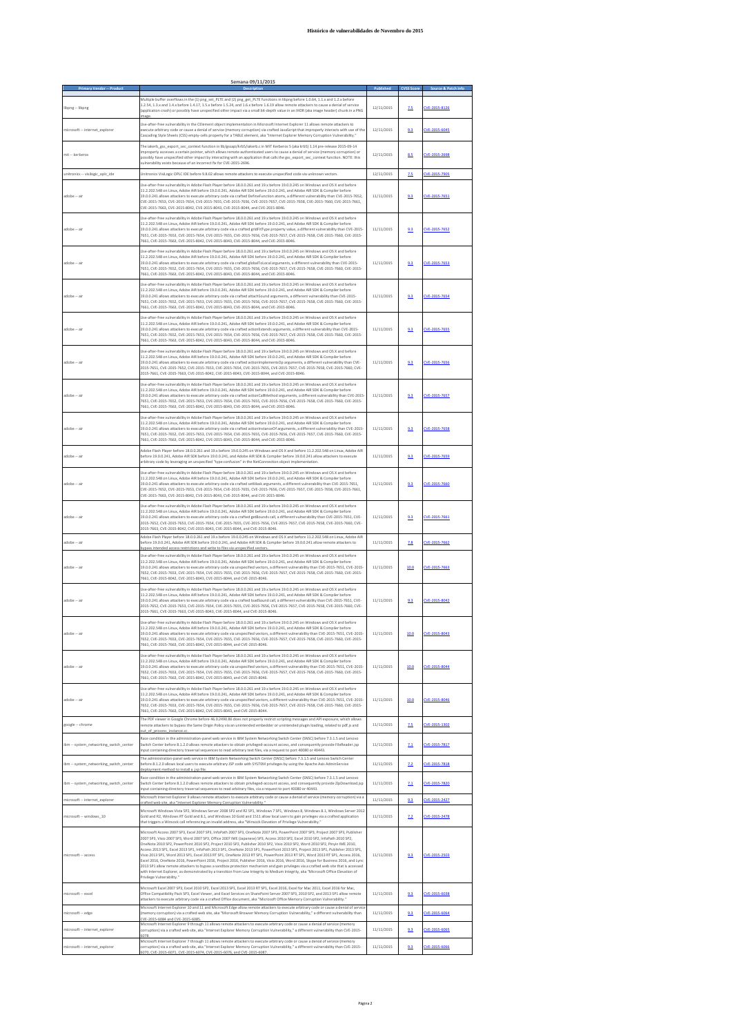|                                                                          | <u>Semana 09/11/2015</u>                                                                                                                                                                                                                                                                                                                                                                                                                                                                                                                                                                                                                                                                                                                                                                                                                                                                                                                                                                                                                                                                                              |                          |            |                                |
|--------------------------------------------------------------------------|-----------------------------------------------------------------------------------------------------------------------------------------------------------------------------------------------------------------------------------------------------------------------------------------------------------------------------------------------------------------------------------------------------------------------------------------------------------------------------------------------------------------------------------------------------------------------------------------------------------------------------------------------------------------------------------------------------------------------------------------------------------------------------------------------------------------------------------------------------------------------------------------------------------------------------------------------------------------------------------------------------------------------------------------------------------------------------------------------------------------------|--------------------------|------------|--------------------------------|
| libpng -- libpng                                                         | Multiple buffer overflows in the (1) png_set_PLTE and (2) png_get_PLTE functions in libpng before 1.0.64, 1.1.x and 1.2.x before<br>1.2.54, 1.3.x and 1.4.x before 1.4.17, 1.5.x before 1.5.24, and 1.6.x before 1.6.19 allow remote attackers to cause a denial of service<br>(application crash) or possibly have unspecified other impact via a small bit-depth value in an IHDR (aka image header) chunk in a PNG                                                                                                                                                                                                                                                                                                                                                                                                                                                                                                                                                                                                                                                                                                 | 12/11/2015               | 2.5        | CVE-2015-8126                  |
| microsoft -- internet_explorer                                           | Use-after-free vulnerability in the CElement object implementation in Microsoft Internet Explorer 11 allows remote attackers to<br>execute arbitrary code or cause a denial of service (memory corruption) via crafted JavaScript that improperly interacts with use of the<br>Cascading Style Sheets (CSS) empty-cells property for a TABLE element, aka "Internet Explorer Memory Corruption Vulnerability."                                                                                                                                                                                                                                                                                                                                                                                                                                                                                                                                                                                                                                                                                                        | 12/11/2015               | 9.3        | CVE-2015-6045                  |
| mit -- kerberos                                                          | The iakerb_gss_export_sec_context function in lib/gssapi/krb5/iakerb.c in MIT Kerberos 5 (aka krb5) 1.14 pre-release 2015-09-14<br>improperly accesses a certain pointer, which allows remote authenticated users to cause a denial of service (memory corruption) or<br>possibly have unspecified other impact by interacting with an application that calls the gss_export_sec_context function. NOTE: this<br>vulnerability exists because of an incorrect fix for CVE-2015-2696.                                                                                                                                                                                                                                                                                                                                                                                                                                                                                                                                                                                                                                  | 12/11/2015               | 8.5        | CVE-2015-2698                  |
| unitronics -- visilogic_oplc_ide                                         | Unitronics VisiLogic OPLC IDE before 9.8.02 allows remote attackers to execute unspecified code via unknown vectors.                                                                                                                                                                                                                                                                                                                                                                                                                                                                                                                                                                                                                                                                                                                                                                                                                                                                                                                                                                                                  | 12/11/2015               | 7.5        | CVE-2015-7905                  |
| adobe -- air                                                             | Use-after-free vulnerability in Adobe Flash Player before 18.0.0.261 and 19.x before 19.0.0.245 on Windows and OS X and before<br>11.2.202.548 on Linux, Adobe AIR before 19.0.0.241, Adobe AIR SDK before 19.0.0.241, and Adobe AIR SDK & Compiler before<br>19.0.0.241 allows attackers to execute arbitrary code via crafted DefineFunction atoms, a different vulnerability than CVE-2015-7652,<br>CVE-2015-7653, CVE-2015-7654, CVE-2015-7655, CVE-2015-7656, CVE-2015-7657, CVE-2015-7658, CVE-2015-7660, CVE-2015-7661,<br>CVE-2015-7663, CVE-2015-8042, CVE-2015-8043, CVE-2015-8044, and CVE-2015-8046.                                                                                                                                                                                                                                                                                                                                                                                                                                                                                                      | 11/11/2015               | 9.3        | CVE-2015-7651                  |
| adobe -- air                                                             | Use-after-free vulnerability in Adobe Flash Player before 18.0.0.261 and 19.x before 19.0.0.245 on Windows and OS X and before<br>11.2.202.548 on Linux, Adobe AIR before 19.0.0.241, Adobe AIR SDK before 19.0.0.241, and Adobe AIR SDK & Compiler before<br>19.0.0.241 allows attackers to execute arbitrary code via a crafted gridFitType property value, a different vulnerability than CVE-2015-<br>7651, CVE-2015-7653, CVE-2015-7654, CVE-2015-7655, CVE-2015-7656, CVE-2015-7657, CVE-2015-7658, CVE-2015-7660, CVE-2015-<br>7661, CVE-2015-7663, CVE-2015-8042, CVE-2015-8043, CVE-2015-8044, and CVE-2015-8046.                                                                                                                                                                                                                                                                                                                                                                                                                                                                                            | 11/11/2015               | 9.3        | CVE-2015-7652                  |
| adobe -- air                                                             | Use-after-free vulnerability in Adobe Flash Player before 18.0.0.261 and 19.x before 19.0.0.245 on Windows and OS X and before<br>11.2.202.548 on Linux, Adobe AIR before 19.0.0.241, Adobe AIR SDK before 19.0.0.241, and Adobe AIR SDK & Compiler before<br>19.0.0.241 allows attackers to execute arbitrary code via crafted globalToLocal arguments, a different vulnerability than CVE-2015-<br>7651, CVE-2015-7652, CVE-2015-7654, CVE-2015-7655, CVE-2015-7656, CVE-2015-7657, CVE-2015-7658, CVE-2015-7660, CVE-2015-<br>7661, CVE-2015-7663, CVE-2015-8042, CVE-2015-8043, CVE-2015-8044, and CVE-2015-8046.                                                                                                                                                                                                                                                                                                                                                                                                                                                                                                 | 11/11/2015               | 9.3        | CVE-2015-7653                  |
| adobe -- air                                                             | Use-after-free vulnerability in Adobe Flash Player before 18.0.0.261 and 19.x before 19.0.0.245 on Windows and OS X and before<br>11.2.202.548 on Linux, Adobe AIR before 19.0.0.241, Adobe AIR SDK before 19.0.0.241, and Adobe AIR SDK & Compiler before<br>19.0.0.241 allows attackers to execute arbitrary code via crafted attachSound arguments, a different vulnerability than CVE-2015-<br>7651, CVE-2015-7652, CVE-2015-7653, CVE-2015-7655, CVE-2015-7656, CVE-2015-7657, CVE-2015-7658, CVE-2015-7660, CVE-2015-<br>7661, CVE-2015-7663, CVE-2015-8042, CVE-2015-8043, CVE-2015-8044, and CVE-2015-8046.                                                                                                                                                                                                                                                                                                                                                                                                                                                                                                   | 11/11/2015               | 9.3        | CVE-2015-7654                  |
| adobe -- air                                                             | Use-after-free vulnerability in Adobe Flash Player before 18.0.0.261 and 19.x before 19.0.0.245 on Windows and OS X and before<br>11.2.202.548 on Linux, Adobe AIR before 19.0.0.241, Adobe AIR SDK before 19.0.0.241, and Adobe AIR SDK & Compiler before<br>19.0.0.241 allows attackers to execute arbitrary code via crafted actionExtends arguments, a different vulnerability than CVE-2015-<br>7651, CVE-2015-7652, CVE-2015-7653, CVE-2015-7654, CVE-2015-7656, CVE-2015-7657, CVE-2015-7658, CVE-2015-7660, CVE-2015-<br>7661. CVE-2015-7663. CVE-2015-8042. CVE-2015-8043. CVE-2015-8044. and CVE-2015-8046.                                                                                                                                                                                                                                                                                                                                                                                                                                                                                                 | 11/11/2015               | 9.3        | CVE-2015-7655                  |
| adobe -- air                                                             | Use-after-free vulnerability in Adobe Flash Player before 18.0.0.261 and 19.x before 19.0.0.245 on Windows and OS X and before<br>11.2.202.548 on Linux, Adobe AIR before 19.0.0.241, Adobe AIR SDK before 19.0.0.241, and Adobe AIR SDK & Compiler before<br>19.0.0.241 allows attackers to execute arbitrary code via crafted actionImplementsOp arguments, a different vulnerability than CVE-<br>2015-7651, CVE-2015-7652, CVE-2015-7653, CVE-2015-7654, CVE-2015-7655, CVE-2015-7657, CVE-2015-7658, CVE-2015-7660, CVE-<br>2015-7661, CVE-2015-7663, CVE-2015-8042, CVE-2015-8043, CVE-2015-8044, and CVE-2015-8046.                                                                                                                                                                                                                                                                                                                                                                                                                                                                                            | 11/11/2015               | 9.3        | CVE-2015-7656                  |
| adobe -- air                                                             | Use-after-free vulnerability in Adobe Flash Player before 18.0.0.261 and 19.x before 19.0.0.245 on Windows and OS X and before<br>11.2.202.548 on Linux, Adobe AIR before 19.0.0.241, Adobe AIR SDK before 19.0.0.241, and Adobe AIR SDK & Compiler before<br>19.0.0.241 allows attackers to execute arbitrary code via crafted actionCallMethod arguments, a different vulnerability than CVE-2015-<br>7651, CVE-2015-7652, CVE-2015-7653, CVE-2015-7654, CVE-2015-7655, CVE-2015-7656, CVE-2015-7658, CVE-2015-7660, CVE-2015-<br>7661, CVE-2015-7663, CVE-2015-8042, CVE-2015-8043, CVE-2015-8044, and CVE-2015-8046.                                                                                                                                                                                                                                                                                                                                                                                                                                                                                              | 11/11/2015               | 9.3        | CVE-2015-7657                  |
| adobe -- air                                                             | Use-after-free vulnerability in Adobe Flash Player before 18.0.0.261 and 19.x before 19.0.0.245 on Windows and OS X and before<br>11.2.202.548 on Linux, Adobe AIR before 19.0.0.241, Adobe AIR SDK before 19.0.0.241, and Adobe AIR SDK & Compiler before<br>19.0.0.241 allows attackers to execute arbitrary code via crafted actionInstanceOf arguments, a different vulnerability than CVE-2015-<br>7651, CVE-2015-7652, CVE-2015-7653, CVE-2015-7654, CVE-2015-7655, CVE-2015-7656, CVE-2015-7657, CVE-2015-7660, CVE-2015-<br>7661, CVE-2015-7663, CVE-2015-8042, CVE-2015-8043, CVE-2015-8044, and CVE-2015-8046.                                                                                                                                                                                                                                                                                                                                                                                                                                                                                              | 11/11/2015               | 9.3        | CVE-2015-7658                  |
| adobe -- air                                                             | Adobe Flash Player before 18.0.0.261 and 19.x before 19.0.0.245 on Windows and OS X and before 11.2.202.548 on Linux, Adobe AIR<br>before 19.0.0.241, Adobe AIR SDK before 19.0.0.241, and Adobe AIR SDK & Compiler before 19.0.0.241 allow attackers to execute<br>arbitrary code by leveraging an unspecified "type confusion" in the NetConnection object implementation.                                                                                                                                                                                                                                                                                                                                                                                                                                                                                                                                                                                                                                                                                                                                          | 11/11/2015               | 9.3        | CVE-2015-7659                  |
| adobe -- air                                                             | Use-after-free vulnerability in Adobe Flash Player before 18.0.0.261 and 19.x before 19.0.0.245 on Windows and OS X and before<br>11.2.202.548 on Linux, Adobe AIR before 19.0.0.241, Adobe AIR SDK before 19.0.0.241, and Adobe AIR SDK & Compiler before<br>19.0.0.241 allows attackers to execute arbitrary code via crafted setMask arguments, a different vulnerability than CVE-2015-7651,<br>CVE-2015-7652, CVE-2015-7653, CVE-2015-7654, CVE-2015-7655, CVE-2015-7656, CVE-2015-7657, CVE-2015-7658, CVE-2015-7661,<br>CVE-2015-7663, CVE-2015-8042, CVE-2015-8043, CVE-2015-8044, and CVE-2015-8046.                                                                                                                                                                                                                                                                                                                                                                                                                                                                                                         | 11/11/2015               | 9.3        | CVE-2015-7660                  |
| adobe -- air                                                             | Use-after-free vulnerability in Adobe Flash Player before 18.0.0.261 and 19.x before 19.0.0.245 on Windows and OS X and before<br>11.2.202.548 on Linux, Adobe AIR before 19.0.0.241, Adobe AIR SDK before 19.0.0.241, and Adobe AIR SDK & Compiler before<br>19.0.0.241 allows attackers to execute arbitrary code via a crafted getBounds call, a different vulnerability than CVE-2015-7651, CVE-<br>2015-7652, CVE-2015-7653, CVE-2015-7654, CVE-2015-7655, CVE-2015-7656, CVE-2015-7657, CVE-2015-7658, CVE-2015-7660, CVE-<br>2015-7663, CVE-2015-8042, CVE-2015-8043, CVE-2015-8044, and CVE-2015-8046.                                                                                                                                                                                                                                                                                                                                                                                                                                                                                                        | 11/11/2015               | 9.3        | CVE-2015-7661                  |
| adobe -- air                                                             | Adobe Flash Player before 18.0.0.261 and 19.x before 19.0.0.245 on Windows and OS X and before 11.2.202.548 on Linux, Adobe AIR<br>before 19.0.0.241, Adobe AIR SDK before 19.0.0.241, and Adobe AIR SDK & Compiler before 19.0.0.241 allow remote attackers to<br>and write to files via unspecified                                                                                                                                                                                                                                                                                                                                                                                                                                                                                                                                                                                                                                                                                                                                                                                                                 | 11/11/2015               | 7.8        | CVE-2015-7662                  |
| adobe -- air                                                             | Use-after-free vulnerability in Adobe Flash Player before 18.0.0.261 and 19.x before 19.0.0.245 on Windows and OS X and before<br>11.2.202.548 on Linux, Adobe AIR before 19.0.0.241, Adobe AIR SDK before 19.0.0.241, and Adobe AIR SDK & Compiler before<br>19.0.0.241 allows attackers to execute arbitrary code via unspecified vectors, a different vulnerability than CVE-2015-7651, CVE-2015-<br>7652, CVE-2015-7653, CVE-2015-7654, CVE-2015-7655, CVE-2015-7656, CVE-2015-7657, CVE-2015-7658, CVE-2015-7660, CVE-2015-<br>7661, CVE-2015-8042, CVE-2015-8043, CVE-2015-8044, and CVE-2015-8046.                                                                                                                                                                                                                                                                                                                                                                                                                                                                                                             | 11/11/2015               | 10.0       | CVE-2015-7663                  |
| adobe -- air                                                             | Use-after-free vulnerability in Adobe Flash Player before 18.0.0.261 and 19.x before 19.0.0.245 on Windows and OS X and before<br>11.2.202.548 on Linux, Adobe AIR before 19.0.0.241, Adobe AIR SDK before 19.0.0.241, and Adobe AIR SDK & Compiler before<br>19.0.0.241 allows attackers to execute arbitrary code via a crafted loadSound call, a different vulnerability than CVE-2015-7651, CVE-<br>2015-7652, CVE-2015-7653, CVE-2015-7654, CVE-2015-7655, CVE-2015-7656, CVE-2015-7657, CVE-2015-7658, CVE-2015-7660, CVE-<br>2015-7661, CVE-2015-7663, CVE-2015-8043, CVE-2015-8044, and CVE-2015-8046.                                                                                                                                                                                                                                                                                                                                                                                                                                                                                                        | 11/11/2015               | 9.3        | CVE-2015-8042                  |
| adobe -- air                                                             | Use-after-free vulnerability in Adobe Flash Player before 18.0.0.261 and 19.x before 19.0.0.245 on Windows and OS X and before<br>11.2.202.548 on Linux, Adobe AIR before 19.0.0.241, Adobe AIR SDK before 19.0.0.241, and Adobe AIR SDK & Compiler before<br>19.0.0.241 allows attackers to execute arbitrary code via unspecified vectors, a different vulnerability than CVE-2015-7651, CVE-2015<br>7652, CVE-2015-7653, CVE-2015-7654, CVE-2015-7655, CVE-2015-7656, CVE-2015-7657, CVE-2015-7658, CVE-2015-7660, CVE-2015-<br>7661. CVE-2015-7663. CVE-2015-8042. CVE-2015-8044. and CVE-2015-8046.                                                                                                                                                                                                                                                                                                                                                                                                                                                                                                              | 11/11/2015               | 10.0       |                                |
| adobe -- air                                                             | Use-after-free vulnerability in Adobe Flash Player before 18.0.0.261 and 19.x before 19.0.0.245 on Windows and OS X and before<br>11.2.202.548 on Linux, Adobe AIR before 19.0.0.241, Adobe AIR SDK before 19.0.0.241, and Adobe AIR SDK & Compiler before<br>19.0.0.241 allows attackers to execute arbitrary code via unspecified vectors, a different vulnerability than CVE-2015-7651, CVE-2015-<br>7652, CVE-2015-7653, CVE-2015-7654, CVE-2015-7655, CVE-2015-7656, CVE-2015-7657, CVE-2015-7658, CVE-2015-7660, CVE-2015-<br>7661. CVE-2015-7663. CVE-2015-8042. CVE-2015-8043. and CVE-2015-8046.                                                                                                                                                                                                                                                                                                                                                                                                                                                                                                             | 11/11/2015               | 10.0       | CVE-2015-8044                  |
| adobe -- air                                                             | Use-after-free vulnerability in Adobe Flash Player before 18.0.0.261 and 19.x before 19.0.0.245 on Windows and OS X and before<br>11.2.202.548 on Linux, Adobe AIR before 19.0.0.241, Adobe AIR SDK before 19.0.0.241, and Adobe AIR SDK & Compiler before<br>19.0.0.241 allows attackers to execute arbitrary code via unspecified vectors, a different vulnerability than CVE-2015-7651, CVE-2015-<br>7652, CVE-2015-7653, CVE-2015-7654, CVE-2015-7655, CVE-2015-7656, CVE-2015-7657, CVE-2015-7658, CVE-2015-7660, CVE-2015-<br>7661, CVE-2015-7663, CVE-2015-8042, CVE-2015-8043, and CVE-2015-8044.                                                                                                                                                                                                                                                                                                                                                                                                                                                                                                             | 11/11/2015               | 10.0       | CVE-2015-8046                  |
| google -- chrome                                                         | The PDF viewer in Google Chrome before 46.0.2490.86 does not properly restrict scripting messages and API exposure, which allows<br>remote attackers to bypass the Same Origin Policy via an unintended embedder or unintended plugin loading, related to pdf.js and<br>Race condition in the administration-panel web service in IBM System Networking Switch Center (SNSC) before 7.3.1.5 and Lenovo                                                                                                                                                                                                                                                                                                                                                                                                                                                                                                                                                                                                                                                                                                                | 11/11/2015               | 2.5        | CVE-2015-1302                  |
| ibm -- system networking switch center                                   | Switch Center before 8.1.2.0 allows remote attackers to obtain privileged-account access, and consequently provide FileReader.jsp<br>input containing directory traversal sequences to read arbitrary text files, via a request to port 40080 or 40443.<br>The administration-panel web service in IBM System Networking Switch Center (SNSC) before 7.3.1.5 and Lenovo Switch Center                                                                                                                                                                                                                                                                                                                                                                                                                                                                                                                                                                                                                                                                                                                                 | 11/11/2015               | 2.1        | CVE-2015-7817                  |
| ibm -- system_networking_switch_center                                   | before 8.1.2.0 allows local users to execute arbitrary JSP code with SYSTEM privileges by using the Apache Axis AdminService<br>deployment method to install a .jsp file<br>Race condition in the administration-panel web service in IBM System Networking Switch Center (SNSC) before 7.3.1.5 and Lenovo                                                                                                                                                                                                                                                                                                                                                                                                                                                                                                                                                                                                                                                                                                                                                                                                            | 11/11/2015               | 7.2        | CVE-2015-7818                  |
| ibm -- system networking switch center<br>microsoft -- internet explorer | Switch Center before 8.1.2.0 allows remote attackers to obtain privileged-account access, and consequently provide ZipDownload.jsp<br>input containing directory traversal sequences to read arbitrary files, via a request to port 40080 or 40443.<br>Microsoft Internet Explorer 9 allows remote attackers to execute arbitrary code or cause a denial of service (memory corruption) via a                                                                                                                                                                                                                                                                                                                                                                                                                                                                                                                                                                                                                                                                                                                         | 11/11/2015<br>11/11/2015 | 7.1<br>9.3 | CVE-2015-7820<br>CVE-2015-2427 |
|                                                                          | rafted web site, aka "Internet Explorer Memory Corruption Vulnerability<br>Microsoft Windows Vista SP2, Windows Server 2008 SP2 and R2 SP1, Windows 7 SP1, Windows 8, Windows 8.1, Windows Server 2012                                                                                                                                                                                                                                                                                                                                                                                                                                                                                                                                                                                                                                                                                                                                                                                                                                                                                                                |                          |            |                                |
| microsoft -- windows 10                                                  | Gold and R2, Windows RT Gold and 8.1, and Windows 10 Gold and 1511 allow local users to gain privileges via a crafted application<br>that triggers a Winsock call referencing an invalid address, aka "Winsock Elevation of Privilege Vulnerability."                                                                                                                                                                                                                                                                                                                                                                                                                                                                                                                                                                                                                                                                                                                                                                                                                                                                 | 11/11/2015               | 7.2        | CVE-2015-2478                  |
| microsoft -- access                                                      | Microsoft Access 2007 SP3, Excel 2007 SP3, InfoPath 2007 SP3, OneNote 2007 SP3, PowerPoint 2007 SP3, Project 2007 SP3, Publisher<br>2007 SP3, Visio 2007 SP3, Word 2007 SP3, Office 2007 IME (Japanese) SP3, Access 2010 SP2, Excel 2010 SP2, InfoPath 2010 SP2,<br>OneNote 2010 SP2, PowerPoint 2010 SP2, Project 2010 SP2, Publisher 2010 SP2, Visio 2010 SP2, Word 2010 SP2, Pinyin IME 2010,<br>Access 2013 SP1, Excel 2013 SP1, InfoPath 2013 SP1, OneNote 2013 SP1, PowerPoint 2013 SP1, Project 2013 SP1, Publisher 2013 SP1,<br>Visio 2013 SP1, Word 2013 SP1, Excel 2013 RT SP1, OneNote 2013 RT SP1, PowerPoint 2013 RT SP1, Word 2013 RT SP1, Access 2016,<br>Excel 2016, OneNote 2016, PowerPoint 2016, Project 2016, Publisher 2016, Visio 2016, Word 2016, Skype for Business 2016, and Lync<br>2013 SP1 allow remote attackers to bypass a sandbox protection mechanism and gain privileges via a crafted web site that is accessed<br>with Internet Explorer, as demonstrated by a transition from Low Integrity to Medium Integrity, aka "Microsoft Office Elevation of<br>Privilege Vulnerability." | 11/11/2015               | 9.3        | CVE-2015-2503                  |
| microsoft -- excel                                                       | Microsoft Excel 2007 SP3, Excel 2010 SP2, Excel 2013 SP1, Excel 2013 RT SP1, Excel 2016, Excel for Mac 2011, Excel 2016 for Mac,<br>Office Compatibility Pack SP3, Excel Viewer, and Excel Services on SharePoint Server 2007 SP3, 2010 SP2, and 2013 SP1 allow remote<br>attackers to execute arbitrary code via a crafted Office document, aka "Microsoft Office Memory Corruption Vulnerability."<br>Microsoft Internet Explorer 10 and 11 and Microsoft Edge allow remote attackers to execute arbitrary code or cause a denial of service                                                                                                                                                                                                                                                                                                                                                                                                                                                                                                                                                                        | 11/11/2015               | 9.3        | CVE-2015-6038                  |
| microsoft -- edge                                                        | memory corruption) via a crafted web site, aka "Microsoft Browser Memory Corruption Vulnerability," a different vulnerability than<br>CVE-2015-6084 and CVE-2015-6085.<br>Microsoft Internet Explorer 9 through 11 allows remote attackers to execute arbitrary code or cause a denial of service (memory                                                                                                                                                                                                                                                                                                                                                                                                                                                                                                                                                                                                                                                                                                                                                                                                             | 11/11/2015               | 9.3        | VE-2015-6064                   |
| microsoft -- internet_explorer                                           | corruption) via a crafted web site, aka "Internet Explorer Memory Corruption Vulnerability," a different vulnerability than CVE-2015-<br>6078<br>Microsoft Internet Explorer 7 through 11 allows remote attackers to execute arbitrary code or cause a denial of service (memory                                                                                                                                                                                                                                                                                                                                                                                                                                                                                                                                                                                                                                                                                                                                                                                                                                      | 11/11/2015               | 9.3        | CVE-2015-6065                  |
| microsoft -- internet_explorer                                           | corruption) via a crafted web site, aka "Internet Explorer Memory Corruption Vulnerability," a different vulnerability than CVE-2015-<br>5070, CVE-2015-6071, CVE-2015-6074, CVE-2015-6076, and CVE-2015-6087                                                                                                                                                                                                                                                                                                                                                                                                                                                                                                                                                                                                                                                                                                                                                                                                                                                                                                         | 11/11/2015               | 9.3        | VE-2015-6066                   |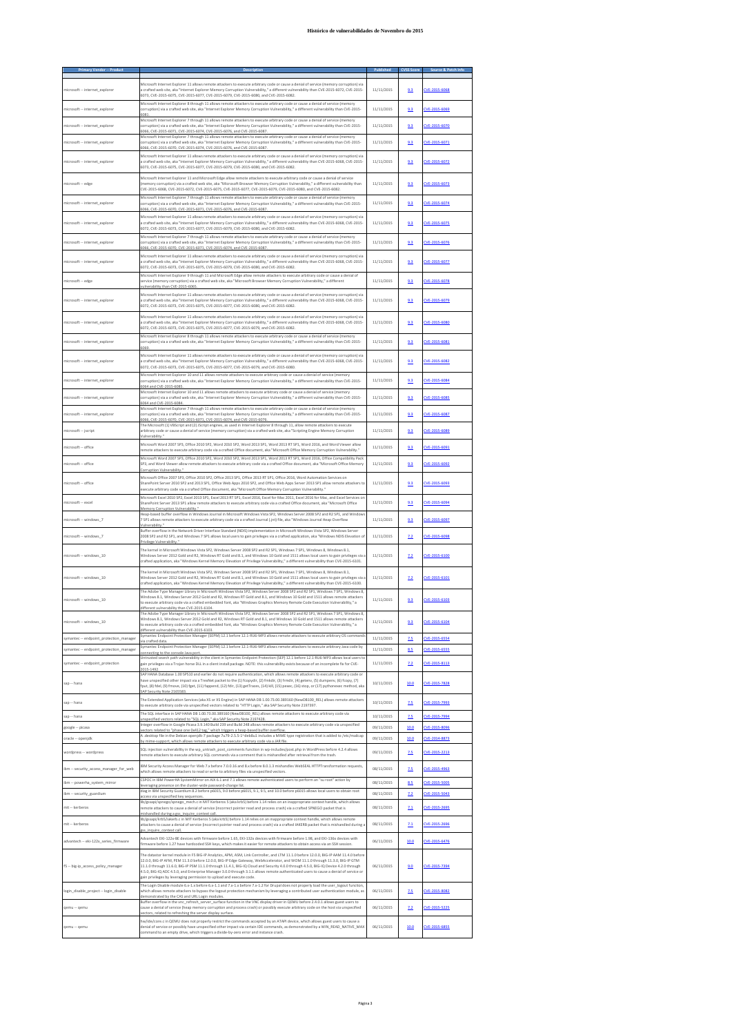|                                                                    | Microsoft Internet Explorer 11 allows remote attackers to execute arbitrary code or cause a denial of service (memory corruption) via                                                                                                                                                                                                                                                                                                                                                                                                                |                          |            |                                |
|--------------------------------------------------------------------|------------------------------------------------------------------------------------------------------------------------------------------------------------------------------------------------------------------------------------------------------------------------------------------------------------------------------------------------------------------------------------------------------------------------------------------------------------------------------------------------------------------------------------------------------|--------------------------|------------|--------------------------------|
| microsoft -- internet explorer                                     | a crafted web site, aka "Internet Explorer Memory Corruption Vulnerability," a different vulnerability than CVE-2015-6072, CVE-2015-<br>6073. CVE-2015-6075. CVE-2015-6077. CVE-2015-6079. CVE-2015-6080. and CVE-2015-6082.<br>Microsoft Internet Explorer 8 through 11 allows remote attackers to execute arbitrary code or cause a denial of service (memory                                                                                                                                                                                      | 11/11/2015               | 9.3        | CVE-2015-6068                  |
| microsoft -- internet explorer                                     | corruption) via a crafted web site, aka "Internet Explorer Memory Corruption Vulnerability," a different vulnerability than CVE-2015-<br>6081                                                                                                                                                                                                                                                                                                                                                                                                        | 11/11/2015               | 9.3        | CVE-2015-6069                  |
| microsoft -- internet explorer                                     | Microsoft Internet Explorer 7 through 11 allows remote attackers to execute arbitrary code or cause a denial of service (memory<br>corruption) via a crafted web site, aka "Internet Explorer Memory Corruption Vulnerability," a different vulnerability than CVE-2015-<br>5066, CVE-2015-6071, CVE-2015-6074, CVE-2015-6076, and CVE-2015-6087                                                                                                                                                                                                     | 11/11/2015               | 9.3        | CVE-2015-6070                  |
| microsoft -- internet explorer                                     | Microsoft Internet Explorer 7 through 11 allows remote attackers to execute arbitrary code or cause a denial of service (memory<br>corruption) via a crafted web site, aka "Internet Explorer Memory Corruption Vulnerability," a different vulnerability than CVE-2015-<br>6066. CVE-2015-6070. CVE-2015-6074. CVE-2015-6076. and CVE-2015-6087.                                                                                                                                                                                                    | 11/11/2015               | 9.3        | CVE-2015-6071                  |
| microsoft -- internet explorer                                     | Microsoft Internet Explorer 11 allows remote attackers to execute arbitrary code or cause a denial of service (memory corruption) via<br>a crafted web site, aka "Internet Explorer Memory Corruption Vulnerability," a different vulnerability than CVE-2015-6068, CVE-2015-<br>6073. CVE-2015-6075. CVE-2015-6077. CVE-2015-6079. CVE-2015-6080. and CVE-2015-6082.                                                                                                                                                                                | 11/11/2015               | 9.3        | CVE-2015-6072                  |
| microsoft -- edge                                                  | Microsoft Internet Explorer 11 and Microsoft Edge allow remote attackers to execute arbitrary code or cause a denial of service<br>(memory corruption) via a crafted web site, aka "Microsoft Browser Memory Corruption Vulnerability " a different vulnerability than<br>CVE-2015-6068. CVE-2015-6072. CVE-2015-6075. CVE-2015-6077. CVE-2015-6079. CVE-2015-6080. and CVE-2015-6082.                                                                                                                                                               | 11/11/2015               | 9.3        | CVE-2015-6073                  |
| microsoft -- internet explorer                                     | Vicrosoft Internet Explorer 7 through 11 allows remote attackers to execute arbitrary code or cause a denial of service (memory<br>corruption) via a crafted web site, aka "Internet Explorer Memory Corruption Vulnerability," a different vulnerability than CVE-2015-<br>6066, CVE-2015-6070, CVE-2015-6071, CVE-2015-6076, and CVE-2015-6087                                                                                                                                                                                                     | 11/11/2015               | 9.3        | CVE-2015-6074                  |
| microsoft -- internet explorer                                     | Microsoft Internet Explorer 11 allows remote attackers to execute arbitrary code or cause a denial of service (memory corruption) via<br>a crafted web site, aka "Internet Explorer Memory Corruption Vulnerability," a different vulnerability than CVE-2015-6068, CVE-2015-<br>6072, CVE-2015-6073, CVE-2015-6077, CVE-2015-6079, CVE-2015-6080, and CVE-2015-6082.                                                                                                                                                                                | 11/11/2015               | 9.3        | CVE-2015-6075                  |
| microsoft -- internet explorer                                     | Microsoft Internet Explorer 7 through 11 allows remote attackers to execute arbitrary code or cause a denial of service (memory<br>corruption) via a crafted web site, aka "Internet Explorer Memory Corruption Vulnerability," a different vulnerability than CVE-2015-<br>CVE-2015-6070, CVE-2015-6071, CVE-2015-6074, and CVE-2015-6087                                                                                                                                                                                                           | 11/11/2015               | 9.3        | CVE-2015-6076                  |
| microsoft -- internet_explorer                                     | Microsoft Internet Explorer 11 allows remote attackers to execute arbitrary code or cause a denial of service (memory corruption) via<br>a crafted web site, aka "Internet Explorer Memory Corruption Vulnerability," a different vulnerability than CVE-2015-6068, CVE-2015-<br>6072, CVE-2015-6073, CVE-2015-6075, CVE-2015-6079, CVE-2015-6080, and CVE-2015-6082.                                                                                                                                                                                | 11/11/2015               | 9.3        | CVE-2015-6077                  |
| microsoft -- edge                                                  | Microsoft Internet Explorer 9 through 11 and Microsoft Edge allow remote attackers to execute arbitrary code or cause a denial of<br>service (memory corruption) via a crafted web site, aka "Microsoft Browser Memory Corruption Vulnerability," a different<br>rulnerability than CVE-2015-6065                                                                                                                                                                                                                                                    | 11/11/2015               | 9.3        | CVE-2015-6078                  |
| microsoft -- internet_explorer                                     | Microsoft Internet Explorer 11 allows remote attackers to execute arbitrary code or cause a denial of service (memory corruption) via<br>a crafted web site, aka "Internet Explorer Memory Corruption Vulnerability," a different vulnerability than CVE-2015-6068, CVE-2015-<br>6072, CVE-2015-6073, CVE-2015-6075, CVE-2015-6077, CVE-2015-6080, and CVE-2015-6082.                                                                                                                                                                                | 11/11/2015               | 9.3        | CVE-2015-6079                  |
| microsoft -- internet_explorer                                     | Microsoft Internet Explorer 11 allows remote attackers to execute arbitrary code or cause a denial of service (memory corruption) via<br>a crafted web site, aka "Internet Explorer Memory Corruption Vulnerability," a different vulnerability than CVE-2015-6068, CVE-2015-<br>6072, CVE-2015-6073, CVE-2015-6075, CVE-2015-6077, CVE-2015-6079, and CVE-2015-6082.                                                                                                                                                                                | 11/11/2015               | 9.3        | CVE-2015-6080                  |
| microsoft -- internet explorer                                     | Microsoft Internet Explorer 8 through 11 allows remote attackers to execute arbitrary code or cause a denial of service (memory<br>corruption) via a crafted web site, aka "Internet Explorer Memory Corruption Vulnerability," a different vulnerability than CVE-2015-                                                                                                                                                                                                                                                                             | 11/11/2015               | 9.3        | CVE-2015-6081                  |
|                                                                    | Microsoft Internet Explorer 11 allows remote attackers to execute arbitrary code or cause a denial of service (memory corruption) via                                                                                                                                                                                                                                                                                                                                                                                                                | 11/11/2015               |            | CVE-2015-6082                  |
| microsoft -- internet_explorer                                     | a crafted web site, aka "Internet Explorer Memory Corruption Vulnerability," a different vulnerability than CVE-2015-6068, CVE-2015-<br>6072, CVE-2015-6073, CVE-2015-6075, CVE-2015-6077, CVE-2015-6079, and CVE-2015-6080.<br>Microsoft Internet Explorer 10 and 11 allows remote attackers to execute arbitrary code or cause a denial of service (memory                                                                                                                                                                                         |                          | 9.3        |                                |
| microsoft -- internet explorer                                     | corruption) via a crafted web site, aka "Internet Explorer Memory Corruption Vulnerability," a different vulnerability than CVE-2015-<br>6064 and CVE-2015-6085.<br>Microsoft Internet Explorer 10 and 11 allows remote attackers to execute arbitrary code or cause a denial of service (memory                                                                                                                                                                                                                                                     | 11/11/2015               | 9.3        | CVE-2015-6084                  |
| microsoft -- internet explorer                                     | corruption) via a crafted web site, aka "Internet Explorer Memory Corruption Vulnerability," a different vulnerability than CVE-2015-<br>6064 and CVE-2015-6084<br>Microsoft Internet Explorer 7 through 11 allows remote attackers to execute arbitrary code or cause a denial of service (memory                                                                                                                                                                                                                                                   | 11/11/2015               | 9.3        | CVE-2015-6085                  |
| microsoft -- internet explorer                                     | corruption) via a crafted web site, aka "Internet Explorer Memory Corruption Vulnerability," a different vulnerability than CVE-2015-<br>6066. CVE-2015-6070. CVE-2015-6071. CVE-2015-6074. and CVE-2015-6076<br>The Microsoft (1) VBScript and (2) JScript engines, as used in Internet Explorer 8 through 11, allow remote attackers to execute                                                                                                                                                                                                    | 11/11/2015               | 9.3        | CVE-2015-6087                  |
| microsoft -- jscript                                               | arbitrary code or cause a denial of service (memory corruption) via a crafted web site, aka "Scripting Engine Memory Corruption<br>Vulnerahility                                                                                                                                                                                                                                                                                                                                                                                                     | 11/11/2015               | 9.3        | CVE-2015-6089                  |
| microsoft -- office                                                | Microsoft Word 2007 SP3, Office 2010 SP2, Word 2010 SP2, Word 2013 SP1, Word 2013 RT SP1, Word 2016, and Word Viewer allow<br>remote attackers to execute arbitrary code via a crafted Office document, aka "Microsoft Office Memory Corruption Vulnerability."                                                                                                                                                                                                                                                                                      | 11/11/2015               | 9.3        | CVE-2015-6091                  |
| microsoft -- office                                                | Microsoft Word 2007 SP3, Office 2010 SP2, Word 2010 SP2, Word 2013 SP1, Word 2013 RT SP1, Word 2016, Office Compatibility Pack<br>SP3, and Word Viewer allow remote attackers to execute arbitrary code via a crafted Office document, aka "Microsoft Office Memory                                                                                                                                                                                                                                                                                  | 11/11/2015               | 9.3        | CVE-2015-6092                  |
| microsoft -- office                                                | Microsoft Office 2007 SP3, Office 2010 SP2, Office 2013 SP1, Office 2013 RT SP1, Office 2016, Word Automation Services on<br>SharePoint Server 2010 SP2 and 2013 SP1, Office Web Apps 2010 SP2, and Office Web Apps Server 2013 SP1 allow remote attackers to<br>execute arbitrary code via a crafted Office document, aka "Microsoft Office Memory Corruption Vulnerability."                                                                                                                                                                       | 11/11/2015               | 9.3        | CVE-2015-6093                  |
| microsoft -- excel                                                 | Microsoft Excel 2010 SP2, Excel 2013 SP1, Excel 2013 RT SP1, Excel 2016, Excel for Mac 2011, Excel 2016 for Mac, and Excel Services on<br>SharePoint Server 2013 SP1 allow remote attackers to execute arbitrary code via a crafted Office document, aka "Microsoft Office<br>Memory Corruption Vulnerability.                                                                                                                                                                                                                                       | 11/11/2015               | 9.3        | CVE-2015-6094                  |
| microsoft -- windows 7                                             | Heap-based buffer overflow in Windows Journal in Microsoft Windows Vista SP2. Windows Server 2008 SP2 and R2 SP1, and Windows<br>7 SP1 allows remote attackers to execute arbitrary code via a crafted Journal (.jnt) file, aka "Windows Journal Heap Overflow                                                                                                                                                                                                                                                                                       | 11/11/2015               | 9.3        | CVE-2015-6097                  |
| microsoft -- windows 7                                             | /ulnerability."<br>Buffer overflow in the Network Driver Interface Standard (NDIS) implementation in Microsoft Windows Vista SP2, Windows Server<br>2008 SP2 and R2 SP1, and Windows 7 SP1 allows local users to gain privileges via a crafted application, aka "Windows NDIS Elevation of                                                                                                                                                                                                                                                           | 11/11/2015               | 7.2        | CVE-2015-6098                  |
| microsoft -- windows 10                                            | Privilege Vulnerability."<br>The kernel in Microsoft Windows Vista SP2, Windows Server 2008 SP2 and R2 SP1, Windows 7 SP1, Windows 8, Windows 8.1,<br>Windows Server 2012 Gold and R2, Windows RT Gold and 8.1, and Windows 10 Gold and 1511 allows local users to gain privileges via a<br>crafted application, aka "Windows Kernel Memory Elevation of Privilege Vulnerability," a different vulnerability than CVE-2015-6101.                                                                                                                     | 11/11/2015               | 22         | CVE-2015-6100                  |
| microsoft -- windows 10                                            | The kernel in Microsoft Windows Vista SP2, Windows Server 2008 SP2 and R2 SP1, Windows 7 SP1, Windows 8, Windows 8.1,<br>Windows Server 2012 Gold and R2, Windows RT Gold and 8.1, and Windows 10 Gold and 1511 allows local users to gain privileges via a                                                                                                                                                                                                                                                                                          | 11/11/2015               | 22         | CVE-2015-6101                  |
| microsoft -- windows 10                                            | crafted application, aka "Windows Kernel Memory Elevation of Privilege Vulnerability," a different vulnerability than CVE-2015-6100.<br>The Adobe Type Manager Library in Microsoft Windows Vista SP2, Windows Server 2008 SP2 and R2 SP1, Windows 7 SP1, Windows 8.<br>Windows 8.1, Windows Server 2012 Gold and R2, Windows RT Gold and 8.1, and Windows 10 Gold and 1511 allows remote attackers                                                                                                                                                  | 11/11/2015               | 9.3        | CVE-2015-6103                  |
|                                                                    | to execute arbitrary code via a crafted embedded font, aka "Windows Graphics Memory Remote Code Execution Vulnerability," a<br>different vulnerability than CVE-2015-6104.                                                                                                                                                                                                                                                                                                                                                                           |                          |            |                                |
| microsoft -- windows 10<br>symantec -- endpoint protection manager | Windows 8.1, Windows Server 2012 Gold and R2, Windows RT Gold and 8.1, and Windows 10 Gold and 1511 allows remote attackers<br>to execute arbitrary code via a crafted embedded font, aka "Windows Graphics Memory Remote Code Execution Vulnerability," a<br>different vulnerability than CVE-2015-6103<br>Symantec Endpoint Protection Manager (SEPM) 12.1 before 12.1-RU6-MP3 allows remote attackers to execute arbitrary OS commands                                                                                                            | 11/11/2015<br>11/11/2015 | 9.3<br>7.5 | CVE-2015-6104<br>CVE-2015-6554 |
| symantec -- endpoint protection manager                            | ia crafted data<br>Symantec Endpoint Protection Manager (SEPM) 12.1 before 12.1-RU6-MP3 allows remote attackers to execute arbitrary Java code by<br>onnecting to the console Java port                                                                                                                                                                                                                                                                                                                                                              | 11/11/2015               | 8.5        | CVE-2015-6555                  |
| symantec -- endpoint_protection                                    | Untrusted search path vulnerability in the client in Symantec Endpoint Protection (SEP) 12.1 before 12.1-RU6-MP3 allows local users to<br>gain privileges via a Trojan horse DLL in a client install package. NOTE: this vulnerability exists because of an incomplete fix for CVE-<br>015-1492                                                                                                                                                                                                                                                      | 11/11/2015               | 2.2        | CVE-2015-8113                  |
| sap -- hana                                                        | SAP HANA Database 1.00 SPS10 and earlier do not require authentication, which allows remote attackers to execute arbitrary code or<br>have unspecified other impact via a TrexNet packet to the (1) fcopydir, (2) fmkdir, (3) frmdir, (4) getenv, (5) dumpenv, (6) fcopy, (7)<br>fput, (8) fdel, (9) fmove, (10) fget, (11) fappend, (12) fdir, (13) getTraces, (14) kill, (15) pexec, (16) stop, or (17) pythonexec method, aka                                                                                                                     | 10/11/2015               | 10.0       | CVE-2015-7828                  |
| sap -- hana                                                        | The Extended Application Services (aka XS or XS Engine) in SAP HANA DB 1.00.73.00.389160 (NewDB100 REL) allows remote attackers<br>to execute arbitrary code via unspecified vectors related to "HTTP Login," aka SAP Security Note 2197397.                                                                                                                                                                                                                                                                                                         | 10/11/2015               | 2.5        | CVE-2015-7993                  |
| sap -- hana                                                        | The SQL interface in SAP HANA DB 1.00.73.00.389160 (NewDB100_REL) allows remote attackers to execute arbitrary code via<br>unspecified vectors related to "SQL Login," aka SAP Security Note 2197428                                                                                                                                                                                                                                                                                                                                                 | 10/11/2015               | 7.5        | CVE-2015-7994                  |
| google -- picasa                                                   | Integer overflow in Google Picasa 3.9.140 Build 239 and Build 248 allows remote attackers to execute arbitrary code via unspecified<br>rectors related to "phase one 0x412 tag," which triggers a heap-based buffer overflow<br>A .desktop file in the Debian openjdk-7 package 7u79-2.5.5-1~deb8u1 includes a MIME type registration that is added to /etc/mailcap                                                                                                                                                                                  | 09/11/2015               | 10.0       | CVE-2015-8096                  |
| oracle -- openjdk                                                  | by mime-support, which allows remote attackers to execute arbitrary code via a JAR file<br>SQL injection vulnerability in the wp untrash post comments function in wp-includes/post.php in WordPress before 4.2.4 allows                                                                                                                                                                                                                                                                                                                             | 09/11/2015               | 10.0       | CVE-2014-8873                  |
| wordpress -- wordpress                                             | remote attackers to execute arbitrary SQL commands via a comment that is mishandled after retrieval from the trash.<br>IBM Security Access Manager for Web 7 x before 7.0.0.16 and 8.x before 8.0.1.3 mishandles WebSEAL HTTPTransformation requests.                                                                                                                                                                                                                                                                                                | 09/11/2015               | <u>7.5</u> | CVE-2015-2213                  |
| ibm -- security access manager for web                             | which allows remote attackers to read or write to arbitrary files via unspecified vectors.<br>CSPOC in IBM PowerHA SystemMirror on AIX 6.1 and 7.1 allows remote authenticated users to perform an "su root" action by                                                                                                                                                                                                                                                                                                                               | 08/11/2015               | 2.5        | CVE-2015-4963                  |
| ibm-- powerha system mirror<br>ibm -- security guardium            | leverazing presence on the cluster-wide password-change list.<br>diag in IBM Security Guardium 8.2 before p6015, 9.0 before p6015, 9.1, 9.5, and 10.0 before p6015 allows local users to obtain root                                                                                                                                                                                                                                                                                                                                                 | 08/11/2015<br>08/11/2015 | 8.5<br>7.2 | CVE-2015-5005<br>CVE-2015-5043 |
| mit -- kerberos                                                    | access via unspecified key sequences<br>lib/gssapi/spnego/spnego_mech.c in MIT Kerberos 5 (aka krb5) before 1.14 relies on an inappropriate context handle, which allows<br>remote attackers to cause a denial of service (incorrect pointer read and process crash) via a crafted SPNEGO packet that is                                                                                                                                                                                                                                             | 08/11/2015               | 7.1        | CVE-2015-2695                  |
| mit -- kerberos                                                    | mishandled during a gss inquire context call.<br>lib/gssapi/krb5/iakerb.c in MIT Kerberos 5 (aka krb5) before 1.14 relies on an inappropriate context handle, which allows remote<br>attackers to cause a denial of service (incorrect pointer read and process crash) via a crafted IAKERB packet that is mishandled during a                                                                                                                                                                                                                       | 08/11/2015               | 7.1        | CVE-2015-2696                  |
| advantech -- eki-122x_series_firmware                              | gss inquire context call.<br>Advantech EKI-122x-BE devices with firmware before 1.65. EKI-132x devices with firmware before 1.98, and EKI-136x devices with<br>firmware before 1.27 have hardcoded SSH keys, which makes it easier for remote attackers to obtain access via an SSH session.                                                                                                                                                                                                                                                         | 06/11/2015               | 10.0       | CVE-2015-6476                  |
| f5 -- big-ip_access_policy_manager                                 | The datastor kernel module in F5 BIG-IP Analytics, APM, ASM, Link Controller, and LTM 11.1.0 before 12.0.0, BIG-IP AAM 11.4.0 before<br>12.0.0, BIG-IP AFM, PEM 11.3.0 before 12.0.0, BIG-IP Edge Gateway, WebAccelerator, and WOM 11.1.0 through 11.3.0, BIG-IP GTM<br>11.1.0 through 11.6.0, BIG-IP PSM 11.1.0 through 11.4.1, BIG-IQ Cloud and Security 4.0.0 through 4.5.0, BIG-IQ Device 4.2.0 through<br>4.5.0, BIG-IQ ADC 4.5.0, and Enterprise Manager 3.0.0 through 3.1.1 allows remote authenticated users to cause a denial of service or | 06/11/2015               | 9.0        | CVE-2015-7394                  |
| login_disable_project -- login_disable                             | gain privileges by leveraging permission to upload and execute code.<br>The Login Disable module 6.x-1.x before 6.x-1.1 and 7.x-1.x before 7.x-1.2 for Drupal does not properly load the user_logout function,<br>which allows remote attackers to bypass the logout protection mechanism by leveraging a contributed user authentication module, as                                                                                                                                                                                                 | 06/11/2015               | 2.5        | CVE-2015-8082                  |
|                                                                    | demonstrated by the CAS and URL Login modules.<br>Buffer overflow in the vnc_refresh_server_surface function in the VNC display driver in QEMU before 2.4.0.1 allows guest users to                                                                                                                                                                                                                                                                                                                                                                  | 06/11/2015               |            |                                |
| qemu -- qemu                                                       | cause a denial of service (heap memory corruption and process crash) or possibly execute arbitrary code on the host via unspecified<br>ectors, related to refreshing the server display surface<br>hw/ide/core.c in QEMU does not properly restrict the commands accepted by an ATAPI device, which allows guest users to cause a                                                                                                                                                                                                                    |                          | 7.2        | CVE-2015-5225                  |
| qemu -- qemu                                                       | denial of service or possibly have unspecified other impact via certain IDE commands, as demonstrated by a WIN READ NATIVE MAX<br>command to an empty drive, which triggers a divide-by-zero error and instance crash.                                                                                                                                                                                                                                                                                                                               | 06/11/2015               | 10.0       | CVE-2015-6855                  |